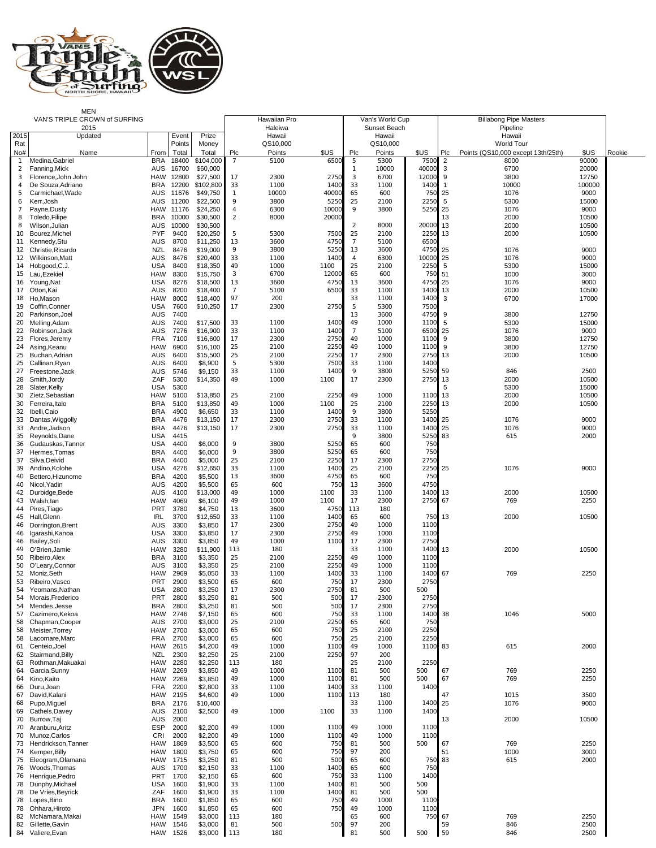

MEN<br>VAN'S TRIPLE CROWN of SURFING TABOR TO Hawaiian Pro Hawaiian Pro Newslets (Van's World Cup | Billabong Pipe Masters

|                | VAN'S TRIPLE CROWN of SURFING        |                          | Hawaiian Pro   |                      |              | Van's World Cup   |               |                     | <b>Billabong Pipe Masters</b> |              |                |                                    |                |        |
|----------------|--------------------------------------|--------------------------|----------------|----------------------|--------------|-------------------|---------------|---------------------|-------------------------------|--------------|----------------|------------------------------------|----------------|--------|
| 2015           | 2015<br>Updated                      |                          | Event          | Prize                |              | Haleiwa<br>Hawaii |               |                     | Sunset Beach<br>Hawaii        |              |                | Pipeline<br>Hawaii                 |                |        |
| Rat            |                                      |                          | Points         | Money                |              | QS10,000          |               |                     | QS10,000                      |              |                | <b>World Tour</b>                  |                |        |
| No#            | Name                                 | From                     | Total          | Total                | Plc          | Points            | \$US          | Plc                 | Points                        | \$US         | Plc            | Points (QS10,000 except 13th/25th) | \$US           | Rookie |
|                | Medina, Gabriel                      | <b>BRA</b>               | 18400          | \$104,000            | 7            | 5100              | 650           | 5<br>$\overline{1}$ | 5300                          | 750<br>40000 | $\overline{2}$ | 8000                               | 90000          |        |
| 2<br>3         | Fanning, Mick<br>Florence.John John  | <b>AUS</b><br>HAW        | 16700<br>12800 | \$60,000<br>\$27,500 | 17           | 2300              | 2750          | 3                   | 10000<br>6700                 | 12000        | 3<br>9         | 6700<br>3800                       | 20000<br>12750 |        |
| $\overline{4}$ | De Souza, Adriano                    | <b>BRA</b>               | 12200          | \$102,800            | 33           | 1100              | 1400          | 33                  | 1100                          | 1400         | $\mathbf{1}$   | 10000                              | 100000         |        |
| 5              | Carmichael, Wade                     | AUS                      | 11676          | \$49,750             | $\mathbf{1}$ | 10000             | 40000         | 65                  | 600                           | 750          | 25             | 1076                               | 9000           |        |
| 6<br>7         | Kerr, Josh<br>Payne, Dusty           | AUS<br>HAW               | 11200<br>11176 | \$22,500<br>\$24,250 | 9<br>4       | 3800<br>6300      | 5250<br>10000 | 25<br>9             | 2100<br>3800                  | 2250<br>5250 | 5<br>25        | 5300<br>1076                       | 15000<br>9000  |        |
| 8              | Toledo, Filipe                       | <b>BRA</b>               | 10000          | \$30,500             | 2            | 8000              | 20000         |                     |                               |              | 13             | 2000                               | 10500          |        |
| 8              | Wilson, Julian                       | AUS                      | 10000          | \$30,500             |              |                   |               | 2                   | 8000                          | 20000        | 13             | 2000                               | 10500          |        |
| 10             | Bourez.Michel                        | <b>PYF</b>               | 9400           | \$20,250             | 5            | 5300              | 7500          | 25                  | 2100                          | 2250         | 13             | 2000                               | 10500          |        |
| 11<br>12       | Kennedy, Stu<br>Christie.Ricardo     | AUS<br>NZL               | 8700<br>8476   | \$11,250<br>\$19,000 | 13<br>9      | 3600<br>3800      | 4750<br>5250  | 7<br>13             | 5100<br>3600                  | 6500<br>4750 | 25             | 1076                               | 9000           |        |
| 12             | Wilkinson, Matt                      | AUS                      | 8476           | \$20,400             | 33           | 1100              | 1400          | $\overline{4}$      | 6300                          | 10000        | 25             | 1076                               | 9000           |        |
| 14             | Hobgood, C.J.                        | <b>USA</b>               | 8400           | \$18,350             | 49           | 1000              | 1100          | 25                  | 2100                          | 2250         | $\overline{5}$ | 5300                               | 15000          |        |
| 15<br>16       | Lau, Ezekiel<br>Young, Nat           | <b>HAW</b><br><b>USA</b> | 8300<br>8276   | \$15,750<br>\$18,500 | 3<br>13      | 6700<br>3600      | 12000<br>4750 | 65<br>13            | 600<br>3600                   | 750<br>4750  | 51<br>25       | 1000<br>1076                       | 3000<br>9000   |        |
| 17             | Otton, Kai                           | <b>AUS</b>               | 8200           | \$18,400             | 7            | 5100              | 6500          | 33                  | 1100                          | 1400         | 13             | 2000                               | 10500          |        |
| 18             | Ho,Mason                             | HAW                      | 8000           | \$18,400             | 97           | 200               |               | 33                  | 1100                          | 1400         | 3              | 6700                               | 17000          |        |
| 19<br>20       | Coffin, Conner<br>Parkinson, Joel    | USA<br><b>AUS</b>        | 7600<br>7400   | \$10,250             | 17           | 2300              | 2750          | 5<br>13             | 5300<br>3600                  | 7500<br>4750 | 9              | 3800                               | 12750          |        |
| 20             | Melling, Adam                        | <b>AUS</b>               | 7400           | \$17,500             | 33           | 1100              | 1400          | 49                  | 1000                          | 1100         | 5              | 5300                               | 15000          |        |
| 22             | Robinson, Jack                       | <b>AUS</b>               | 7276           | \$16,900             | 33           | 1100              | 1400          | $\overline{7}$      | 5100                          | 6500         | 25             | 1076                               | 9000           |        |
| 23             | Flores, Jeremy                       | <b>FRA</b>               | 7100           | \$16,600             | 17           | 2300              | 2750          | 49                  | 1000                          | 1100         | 9              | 3800                               | 12750          |        |
| 24<br>25       | Asing, Keanu<br>Buchan, Adrian       | <b>HAW</b><br>AUS        | 6900<br>6400   | \$16,100<br>\$15,500 | 25<br>25     | 2100<br>2100      | 2250<br>2250  | 49<br>17            | 1000<br>2300                  | 1100<br>2750 | 9<br>13        | 3800<br>2000                       | 12750<br>10500 |        |
| 25             | Callinan, Ryan                       | <b>AUS</b>               | 6400           | \$8,900              | 5            | 5300              | 7500          | 33                  | 1100                          | 1400         |                |                                    |                |        |
| 27             | Freestone, Jack                      | AUS                      | 5746           | \$9,150              | 33           | 1100              | 1400          | 9                   | 3800                          | 5250         | 59             | 846                                | 2500           |        |
| 28<br>28       | Smith, Jordy<br>Slater, Kelly        | ZAF<br><b>USA</b>        | 5300<br>5300   | \$14,350             | 49           | 1000              | 1100          | 17                  | 2300                          | 2750         | 13<br>5        | 2000<br>5300                       | 10500<br>15000 |        |
| 30             | Zietz, Sebastian                     | <b>HAW</b>               | 5100           | \$13,850             | 25           | 2100              | 2250          | 49                  | 1000                          | 1100         | 13             | 2000                               | 10500          |        |
| 30             | Ferreira, Italo                      | <b>BRA</b>               | 5100           | \$13,850             | 49           | 1000              | 1100          | 25                  | 2100                          | 2250         | 13             | 2000                               | 10500          |        |
| 32<br>33       | Ibelli, Caio<br>Dantas, Wiggolly     | <b>BRA</b><br><b>BRA</b> | 4900<br>4476   | \$6,650<br>\$13,150  | 33<br>17     | 1100<br>2300      | 1400<br>2750  | 9<br>33             | 3800<br>1100                  | 5250<br>1400 | 25             | 1076                               | 9000           |        |
| 33             | Andre, Jadson                        | <b>BRA</b>               | 4476           | \$13,150             | 17           | 2300              | 2750          | 33                  | 1100                          | 1400         | 25             | 1076                               | 9000           |        |
| 35             | Reynolds, Dane                       | <b>USA</b>               | 4415           |                      |              |                   |               | 9                   | 3800                          | 5250         | 83             | 615                                | 2000           |        |
| 36<br>37       | Gudauskas, Tanner<br>Hermes, Tomas   | <b>USA</b><br><b>BRA</b> | 4400<br>4400   | \$6,000<br>\$6,000   | 9<br>9       | 3800<br>3800      | 5250<br>5250  | 65<br>65            | 600<br>600                    | 750<br>750   |                |                                    |                |        |
| 37             | Silva, Deivid                        | <b>BRA</b>               | 4400           | \$5,000              | 25           | 2100              | 2250          | 17                  | 2300                          | 2750         |                |                                    |                |        |
| 39             | Andino, Kolohe                       | <b>USA</b>               | 4276           | \$12,650             | 33           | 1100              | 1400          | 25                  | 2100                          | 2250         | 25             | 1076                               | 9000           |        |
| 40<br>40       | Bettero, Hizunome<br>Nicol, Yadin    | <b>BRA</b><br>AUS        | 4200<br>4200   | \$5,500<br>\$5,500   | 13<br>65     | 3600<br>600       | 4750<br>75    | 65<br>13            | 600<br>3600                   | 750<br>4750  |                |                                    |                |        |
| 42             | Durbidge, Bede                       | AUS                      | 4100           | \$13,000             | 49           | 1000              | 1100          | 33                  | 1100                          | 1400         | 13             | 2000                               | 10500          |        |
| 43             | Walsh, lan                           | <b>HAW</b>               | 4069           | \$6,100              | 49           | 1000              | 1100          | 17                  | 2300                          | 2750         | 67             | 769                                | 2250           |        |
| 44<br>45       | Pires, Tiago<br>Hall, Glenn          | PRT<br><b>IRL</b>        | 3780<br>3700   | \$4,750<br>\$12,650  | 13<br>33     | 3600<br>1100      | 475<br>1400   | 113<br>65           | 180<br>600                    | 750          | 13             | 2000                               | 10500          |        |
| 46             | Dorrington, Brent                    | <b>AUS</b>               | 3300           | \$3,850              | 17           | 2300              | 2750          | 49                  | 1000                          | 1100         |                |                                    |                |        |
| 46             | Igarashi, Kanoa                      | <b>USA</b>               | 3300           | \$3,850              | 17           | 2300              | 2750          | 49                  | 1000                          | 1100         |                |                                    |                |        |
| 46<br>49       | Bailey, Soli<br>O'Brien, Jamie       | <b>AUS</b><br><b>HAW</b> | 3300<br>3280   | \$3,850<br>\$11,900  | 49<br>113    | 1000<br>180       | 1100          | 17<br>33            | 2300<br>1100                  | 2750<br>1400 | 13             | 2000                               | 10500          |        |
| 50             | Ribeiro, Alex                        | <b>BRA</b>               | 3100           | \$3,350              | 25           | 2100              | 2250          | 49                  | 1000                          | 1100         |                |                                    |                |        |
| 50             | O'Leary, Connor                      | AUS                      | 3100           | \$3,350              | 25           | 2100              | 2250          | 49                  | 1000                          | 1100         |                |                                    |                |        |
| 52             | Moniz, Seth                          | <b>HAW</b>               | 2969           | \$5,050              | 33           | 1100              | 1400          | 33                  | 1100                          | 1400         | 67             | 769                                | 2250           |        |
| 53<br>54       | Ribeiro, Vasco<br>Yeomans, Nathan    | <b>PRT</b><br><b>USA</b> | 2900<br>2800   | \$3,500<br>\$3,250   | 65<br>17     | 600<br>2300       | 750<br>2750   | 17<br>81            | 2300<br>500                   | 2750<br>500  |                |                                    |                |        |
| 54             | Morais, Frederico                    | PRT                      | 2800           | \$3,250              | 81           | 500               | 500           | 17                  | 2300                          | 2750         |                |                                    |                |        |
| 54             | Mendes, Jesse                        | <b>BRA</b>               | 2800           | \$3,250              | 81           | 500               | 500           | 17                  | 2300                          | 2750         |                |                                    |                |        |
| 57<br>58       | Cazimero, Kekoa<br>Chapman, Cooper   | <b>HAW</b><br>AUS        | 2746<br>2700   | \$7,150<br>\$3,000   | 65<br>25     | 600<br>2100       | 750<br>2250   | 33<br>65            | 1100<br>600                   | 1400<br>750  | 38             | 1046                               | 5000           |        |
| 58             | Meister, Torrey                      | HAW                      | 2700           | \$3,000              | 65           | 600               | 750           | 25                  | 2100                          | 2250         |                |                                    |                |        |
| 58             | Lacomare, Marc                       | <b>FRA</b>               | 2700           | \$3,000              | 65           | 600               | 750           | 25                  | 2100                          | 2250         |                |                                    |                |        |
| 61<br>62       | Centeio.Joel<br>Stairmand, Billy     | <b>HAW</b><br>NZL        | 2615<br>2300   | \$4,200<br>\$2,250   | 49<br>25     | 1000<br>2100      | 1100<br>2250  | 49<br>97            | 1000<br>200                   | 1100         | 83             | 615                                | 2000           |        |
| 63             | Rothman, Makuakai                    | <b>HAW</b>               | 2280           | \$2,250              | 113          | 180               |               | 25                  | 2100                          | 2250         |                |                                    |                |        |
| 64             | Garcia, Sunny                        | <b>HAW</b>               | 2269           | \$3,850              | 49           | 1000              | 1100          | 81                  | 500                           | 500          | 67             | 769                                | 2250           |        |
| 64<br>66       | Kino, Kaito<br>Duru, Joan            | <b>HAW</b><br><b>FRA</b> | 2269<br>2200   | \$3,850<br>\$2,800   | 49<br>33     | 1000<br>1100      | 1100<br>1400  | 81<br>33            | 500<br>1100                   | 500<br>1400  | 67             | 769                                | 2250           |        |
| 67             | David, Kalani                        | <b>HAW</b>               | 2195           | \$4,600              | 49           | 1000              | 1100          | 113                 | 180                           |              | 47             | 1015                               | 3500           |        |
| 68             | Pupo, Miguel                         | <b>BRA</b>               | 2176           | \$10,400             |              |                   |               | 33                  | 1100                          | 1400         | 25             | 1076                               | 9000           |        |
| 69<br>70       | Cathels, Davey<br>Burrow, Taj        | <b>AUS</b><br><b>AUS</b> | 2100<br>2000   | \$2,500              | 49           | 1000              | 1100          | 33                  | 1100                          | 1400         | 13             | 2000                               | 10500          |        |
| 70             | Aranburu, Aritz                      | <b>ESP</b>               | 2000           | \$2,200              | 49           | 1000              | 1100          | 49                  | 1000                          | 1100         |                |                                    |                |        |
| 70             | Munoz, Carlos                        | <b>CRI</b>               | 2000           | \$2,200              | 49           | 1000              | 1100          | 49                  | 1000                          | 1100         |                |                                    |                |        |
| 73<br>74       | Hendrickson, Tanner<br>Kemper, Billy | <b>HAW</b><br>HAW        | 1869<br>1800   | \$3,500<br>\$3,750   | 65<br>65     | 600<br>600        | 750<br>750    | 81<br>97            | 500<br>200                    | 500          | 67<br>51       | 769<br>1000                        | 2250<br>3000   |        |
| 75             | Eleogram, Olamana                    | <b>HAW</b>               | 1715           | \$3,250              | 81           | 500               | 500           | 65                  | 600                           | 750          | 83             | 615                                | 2000           |        |
| 76             | Woods, Thomas                        | <b>AUS</b>               | 1700           | \$2,150              | 33           | 1100              | 1400          | 65                  | 600                           | 750          |                |                                    |                |        |
| 76             | Henrique, Pedro                      | <b>PRT</b><br><b>USA</b> | 1700<br>1600   | \$2,150              | 65<br>33     | 600<br>1100       | 750<br>1400   | 33<br>81            | 1100<br>500                   | 140<br>500   |                |                                    |                |        |
| 78<br>78       | Dunphy, Michael<br>De Vries, Beyrick | ZAF                      | 1600           | \$1,900<br>\$1,900   | 33           | 1100              | 1400          | 81                  | 500                           | 500          |                |                                    |                |        |
| 78             | Lopes, Bino                          | <b>BRA</b>               | 1600           | \$1,850              | 65           | 600               | 750           | 49                  | 1000                          | 110          |                |                                    |                |        |
| 78             | Ohhara, Hiroto                       | <b>JPN</b>               | 1600           | \$1,850              | 65           | 600               | 750           | 49                  | 1000                          | 1100         |                |                                    |                |        |
| 82<br>82       | McNamara, Makai<br>Gillette, Gavin   | <b>HAW</b><br><b>HAW</b> | 1549<br>1546   | \$3,000<br>\$3,000   | 113<br>81    | 180<br>500        | 500           | 65<br>97            | 600<br>200                    | 750          | 67<br>59       | 769<br>846                         | 2250<br>2500   |        |
| 84             | Valiere, Evan                        | HAW                      | 1526           | \$3,000              | 113          | 180               |               | 81                  | 500                           | 500          | 59             | 846                                | 2500           |        |